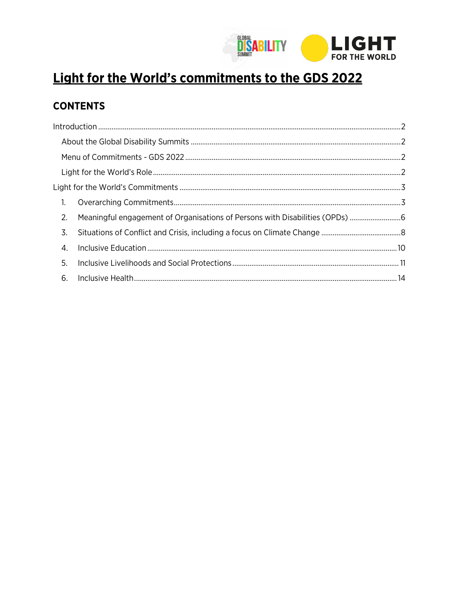

# Light for the World's commitments to the GDS 2022

# **CONTENTS**

| $\overline{1}$ . |                                                                            |  |
|------------------|----------------------------------------------------------------------------|--|
| 2.               | Meaningful engagement of Organisations of Persons with Disabilities (OPDs) |  |
| 3.               |                                                                            |  |
| 4.               |                                                                            |  |
| 5.               |                                                                            |  |
|                  |                                                                            |  |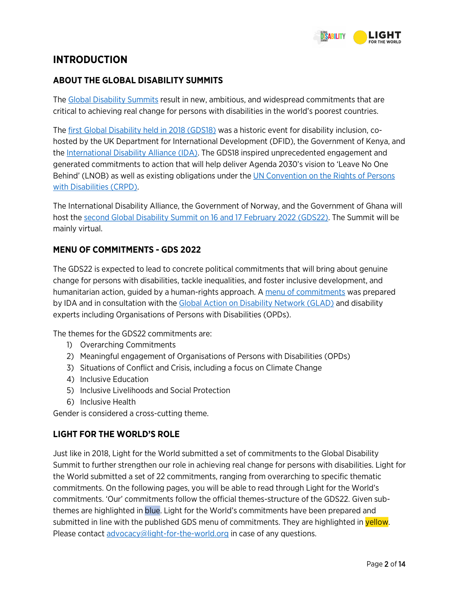

# <span id="page-1-0"></span>**INTRODUCTION**

# <span id="page-1-1"></span>**ABOUT THE GLOBAL DISABILITY SUMMITS**

The [Global Disability Summits r](https://www.globaldisabilitysummit.org/)esult in new, ambitious, and widespread commitments that are critical to achieving real change for persons with disabilities in the world's poorest countries.

The [first Global Disability held in 2018 \(GDS18\) w](https://www.globaldisabilitysummit.org/pages/global-disability-summit-2018-london-uk)as a historic event for disability inclusion, cohosted by the UK Department for International Development (DFID), the Government of Kenya, and the [International Disability Alliance \(IDA\).](https://www.internationaldisabilityalliance.org/) The GDS18 inspired unprecedented engagement and generated commitments to action that will help deliver Agenda 2030's vision to 'Leave No One Behind' (LNOB) as well as existing obligations under the [UN Convention on the Rights of Persons](https://www.un.org/development/desa/disabilities/convention-on-the-rights-of-persons-with-disabilities.html)  [with Disabilities \(CRPD\).](https://www.un.org/development/desa/disabilities/convention-on-the-rights-of-persons-with-disabilities.html) 

The International Disability Alliance, the Government of Norway, and the Government of Ghana will host the [second Global Disability Summit on 16 and 17 February 2022 \(GDS22\).](https://www.globaldisabilitysummit.org/pages/global-disability-summit-2022-norway) The Summit will be mainly virtual.

# <span id="page-1-2"></span>**MENU OF COMMITMENTS - GDS 2022**

The GDS22 is expected to lead to concrete political commitments that will bring about genuine change for persons with disabilities, tackle inequalities, and foster inclusive development, and humanitarian action, guided by a human-rights approach. A [menu of commitments w](https://www.globaldisabilitysummit.org/rails/active_storage/blobs/redirect/eyJfcmFpbHMiOnsibWVzc2FnZSI6IkJBaHBBYjg9IiwiZXhwIjpudWxsLCJwdXIiOiJibG9iX2lkIn19--944c17ca12ea7b4284aeb40c409896d4c3942704/GDS%2520Menu%2520of%2520Commitments%2520(1).docx)as prepared by IDA and in consultation with the [Global Action on Disability Network \(GLAD\) a](https://gladnetwork.net/)nd disability experts including Organisations of Persons with Disabilities (OPDs).

The themes for the GDS22 commitments are:

- 1) Overarching Commitments
- 2) Meaningful engagement of Organisations of Persons with Disabilities (OPDs)
- 3) Situations of Conflict and Crisis, including a focus on Climate Change
- 4) Inclusive Education
- 5) Inclusive Livelihoods and Social Protection
- 6) Inclusive Health

Gender is considered a cross-cutting theme.

# <span id="page-1-3"></span>**LIGHT FOR THE WORLD'S ROLE**

Just like in 2018, Light for the World submitted a set of commitments to the Global Disability Summit to further strengthen our role in achieving real change for persons with disabilities. Light for the World submitted a set of 22 commitments, ranging from overarching to specific thematic commitments. On the following pages, you will be able to read through Light for the World's commitments. 'Our' commitments follow the official themes-structure of the GDS22. Given subthemes are highlighted in blue. Light for the World's commitments have been prepared and submitted in line with the published GDS menu of commitments. They are highlighted in **yellow**. Please contact [advocacy@light-for-the-world.org i](mailto:advocacy@light-for-the-world.org)n case of any questions.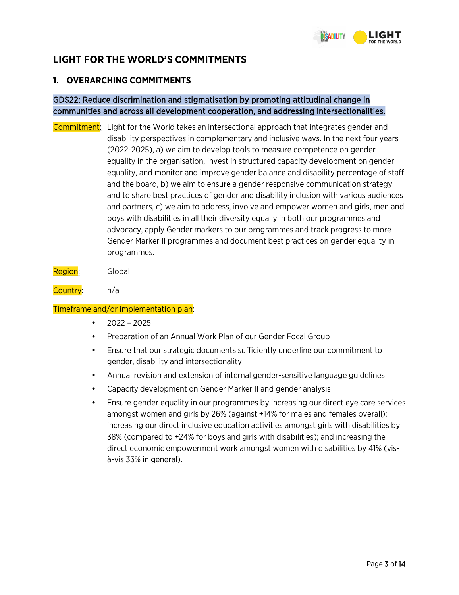

# <span id="page-2-0"></span>**LIGHT FOR THE WORLD'S COMMITMENTS**

# <span id="page-2-1"></span>**1. OVERARCHING COMMITMENTS**

# GDS22: Reduce discrimination and stigmatisation by promoting attitudinal change in communities and across all development cooperation, and addressing intersectionalities.

Commitment: Light for the World takes an intersectional approach that integrates gender and disability perspectives in complementary and inclusive ways. In the next four years (2022-2025), a) we aim to develop tools to measure competence on gender equality in the organisation, invest in structured capacity development on gender equality, and monitor and improve gender balance and disability percentage of staff and the board, b) we aim to ensure a gender responsive communication strategy and to share best practices of gender and disability inclusion with various audiences and partners, c) we aim to address, involve and empower women and girls, men and boys with disabilities in all their diversity equally in both our programmes and advocacy, apply Gender markers to our programmes and track progress to more Gender Marker II programmes and document best practices on gender equality in programmes.

Region: Global

Country: n/a

- $2022 2025$
- Preparation of an Annual Work Plan of our Gender Focal Group
- Ensure that our strategic documents sufficiently underline our commitment to gender, disability and intersectionality
- Annual revision and extension of internal gender-sensitive language guidelines
- Capacity development on Gender Marker II and gender analysis
- Ensure gender equality in our programmes by increasing our direct eye care services amongst women and girls by 26% (against +14% for males and females overall); increasing our direct inclusive education activities amongst girls with disabilities by 38% (compared to +24% for boys and girls with disabilities); and increasing the direct economic empowerment work amongst women with disabilities by 41% (visà-vis 33% in general).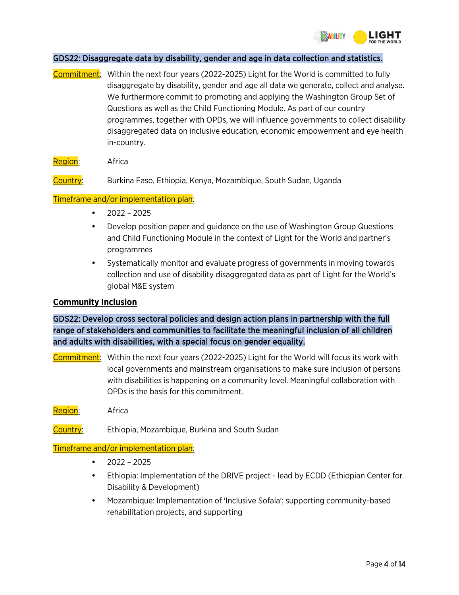

#### GDS22: Disaggregate data by disability, gender and age in data collection and statistics.

- Commitment: Within the next four years (2022-2025) Light for the World is committed to fully disaggregate by disability, gender and age all data we generate, collect and analyse. We furthermore commit to promoting and applying the Washington Group Set of Questions as well as the Child Functioning Module. As part of our country programmes, together with OPDs, we will influence governments to collect disability disaggregated data on inclusive education, economic empowerment and eye health in-country.
- Region: Africa

Country: Burkina Faso, Ethiopia, Kenya, Mozambique, South Sudan, Uganda

#### Timeframe and/or implementation plan:

- $2022 2025$
- Develop position paper and guidance on the use of Washington Group Questions and Child Functioning Module in the context of Light for the World and partner's programmes
- Systematically monitor and evaluate progress of governments in moving towards collection and use of disability disaggregated data as part of Light for the World's global M&E system

#### **Community Inclusion**

GDS22: Develop cross sectoral policies and design action plans in partnership with the full range of stakeholders and communities to facilitate the meaningful inclusion of all children and adults with disabilities, with a special focus on gender equality.

- Commitment: Within the next four years (2022-2025) Light for the World will focus its work with local governments and mainstream organisations to make sure inclusion of persons with disabilities is happening on a community level. Meaningful collaboration with OPDs is the basis for this commitment.
- Region: Africa
- Country: Ethiopia, Mozambique, Burkina and South Sudan

- $2022 2025$
- Ethiopia: Implementation of the DRIVE project lead by ECDD (Ethiopian Center for Disability & Development)
- Mozambique: Implementation of 'Inclusive Sofala'; supporting community-based rehabilitation projects, and supporting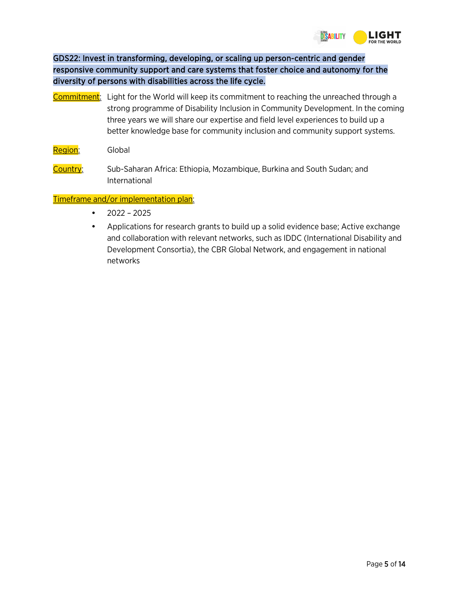

# GDS22: Invest in transforming, developing, or scaling up person-centric and gender responsive community support and care systems that foster choice and autonomy for the diversity of persons with disabilities across the life cycle.

- Commitment: Light for the World will keep its commitment to reaching the unreached through a strong programme of Disability Inclusion in Community Development. In the coming three years we will share our expertise and field level experiences to build up a better knowledge base for community inclusion and community support systems.
- Region: Global
- Country: Sub-Saharan Africa: Ethiopia, Mozambique, Burkina and South Sudan; and International

- $2022 2025$
- Applications for research grants to build up a solid evidence base; Active exchange and collaboration with relevant networks, such as IDDC (International Disability and Development Consortia), the CBR Global Network, and engagement in national networks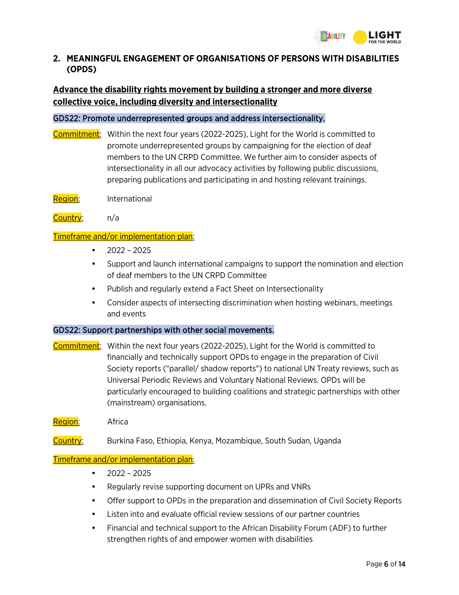

# <span id="page-5-0"></span>**2. MEANINGFUL ENGAGEMENT OF ORGANISATIONS OF PERSONS WITH DISABILITIES (OPDS)**

# **Advance the disability rights movement by building a stronger and more diverse collective voice, including diversity and intersectionality**

#### GDS22: Promote underrepresented groups and address intersectionality.

- Commitment: Within the next four years (2022-2025), Light for the World is committed to promote underrepresented groups by campaigning for the election of deaf members to the UN CRPD Committee. We further aim to consider aspects of intersectionality in all our advocacy activities by following public discussions, preparing publications and participating in and hosting relevant trainings.
- Region: International
- Country: n/a

#### Timeframe and/or implementation plan:

- 2022 2025
- Support and launch international campaigns to support the nomination and election of deaf members to the UN CRPD Committee
- Publish and regularly extend a Fact Sheet on Intersectionality
- Consider aspects of intersecting discrimination when hosting webinars, meetings and events

#### GDS22: Support partnerships with other social movements.

- Commitment: Within the next four years (2022-2025), Light for the World is committed to financially and technically support OPDs to engage in the preparation of Civil Society reports ("parallel/ shadow reports") to national UN Treaty reviews, such as Universal Periodic Reviews and Voluntary National Reviews. OPDs will be particularly encouraged to building coalitions and strategic partnerships with other (mainstream) organisations.
- Region: Africa
- Country: Burkina Faso, Ethiopia, Kenya, Mozambique, South Sudan, Uganda

- $2022 2025$
- Regularly revise supporting document on UPRs and VNRs
- Offer support to OPDs in the preparation and dissemination of Civil Society Reports
- Listen into and evaluate official review sessions of our partner countries
- Financial and technical support to the African Disability Forum (ADF) to further strengthen rights of and empower women with disabilities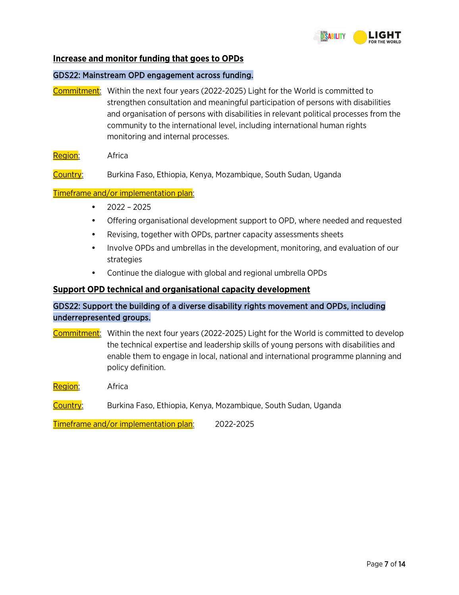

#### **Increase and monitor funding that goes to OPDs**

#### GDS22: Mainstream OPD engagement across funding.

- Commitment: Within the next four years (2022-2025) Light for the World is committed to strengthen consultation and meaningful participation of persons with disabilities and organisation of persons with disabilities in relevant political processes from the community to the international level, including international human rights monitoring and internal processes.
- Region: Africa
- Country: Burkina Faso, Ethiopia, Kenya, Mozambique, South Sudan, Uganda

#### Timeframe and/or implementation plan:

- $2022 2025$
- Offering organisational development support to OPD, where needed and requested
- Revising, together with OPDs, partner capacity assessments sheets
- Involve OPDs and umbrellas in the development, monitoring, and evaluation of our strategies
- Continue the dialogue with global and regional umbrella OPDs

#### **Support OPD technical and organisational capacity development**

# GDS22: Support the building of a diverse disability rights movement and OPDs, including underrepresented groups.

- Commitment: Within the next four years (2022-2025) Light for the World is committed to develop the technical expertise and leadership skills of young persons with disabilities and enable them to engage in local, national and international programme planning and policy definition.
- Region: Africa
- Country: Burkina Faso, Ethiopia, Kenya, Mozambique, South Sudan, Uganda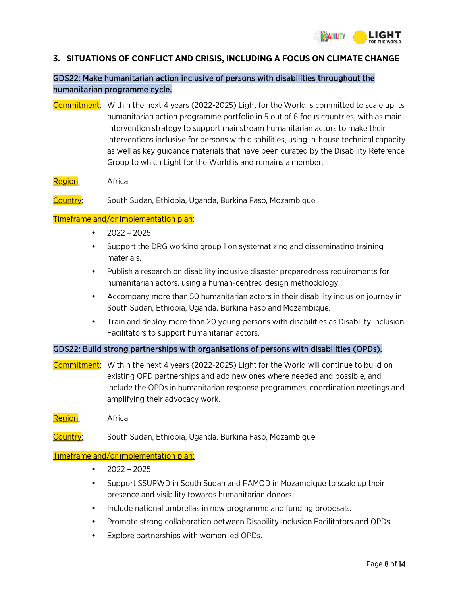### <span id="page-7-0"></span>**3. SITUATIONS OF CONFLICT AND CRISIS, INCLUDING A FOCUS ON CLIMATE CHANGE**

# GDS22: Make humanitarian action inclusive of persons with disabilities throughout the humanitarian programme cycle.

- Commitment: Within the next 4 years (2022-2025) Light for the World is committed to scale up its humanitarian action programme portfolio in 5 out of 6 focus countries, with as main intervention strategy to support mainstream humanitarian actors to make their interventions inclusive for persons with disabilities, using in-house technical capacity as well as key guidance materials that have been curated by the Disability Reference Group to which Light for the World is and remains a member.
- Region: Africa

Country: South Sudan, Ethiopia, Uganda, Burkina Faso, Mozambique

#### Timeframe and/or implementation plan:

- 2022 2025
- Support the DRG working group 1 on systematizing and disseminating training materials.
- Publish a research on disability inclusive disaster preparedness requirements for humanitarian actors, using a human-centred design methodology.
- Accompany more than 50 humanitarian actors in their disability inclusion journey in South Sudan, Ethiopia, Uganda, Burkina Faso and Mozambique.
- Train and deploy more than 20 young persons with disabilities as Disability Inclusion Facilitators to support humanitarian actors.

#### GDS22: Build strong partnerships with organisations of persons with disabilities (OPDs).

- Commitment: Within the next 4 years (2022-2025) Light for the World will continue to build on existing OPD partnerships and add new ones where needed and possible, and include the OPDs in humanitarian response programmes, coordination meetings and amplifying their advocacy work.
- Region: Africa
- Country: South Sudan, Ethiopia, Uganda, Burkina Faso, Mozambique

- $2022 2025$
- Support SSUPWD in South Sudan and FAMOD in Mozambique to scale up their presence and visibility towards humanitarian donors.
- Include national umbrellas in new programme and funding proposals.
- Promote strong collaboration between Disability Inclusion Facilitators and OPDs.
- Explore partnerships with women led OPDs.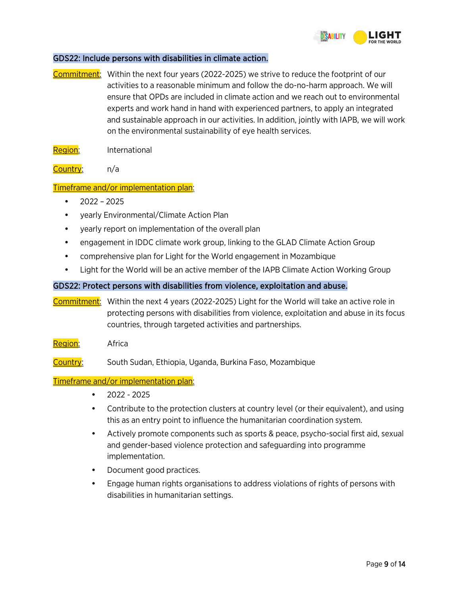

#### GDS22: Include persons with disabilities in climate action.

- Commitment: Within the next four years (2022-2025) we strive to reduce the footprint of our activities to a reasonable minimum and follow the do-no-harm approach. We will ensure that OPDs are included in climate action and we reach out to environmental experts and work hand in hand with experienced partners, to apply an integrated and sustainable approach in our activities. In addition, jointly with IAPB, we will work on the environmental sustainability of eye health services.
- Region: International
- Country: n/a

#### Timeframe and/or implementation plan:

- 2022 2025
- yearly Environmental/Climate Action Plan
- yearly report on implementation of the overall plan
- engagement in IDDC climate work group, linking to the GLAD Climate Action Group
- comprehensive plan for Light for the World engagement in Mozambique
- Light for the World will be an active member of the IAPB Climate Action Working Group

#### GDS22: Protect persons with disabilities from violence, exploitation and abuse.

- Commitment: Within the next 4 years (2022-2025) Light for the World will take an active role in protecting persons with disabilities from violence, exploitation and abuse in its focus countries, through targeted activities and partnerships.
- Region: Africa
- Country: South Sudan, Ethiopia, Uganda, Burkina Faso, Mozambique

- 2022 2025
- Contribute to the protection clusters at country level (or their equivalent), and using this as an entry point to influence the humanitarian coordination system.
- Actively promote components such as sports & peace, psycho-social first aid, sexual and gender-based violence protection and safeguarding into programme implementation.
- Document good practices.
- Engage human rights organisations to address violations of rights of persons with disabilities in humanitarian settings.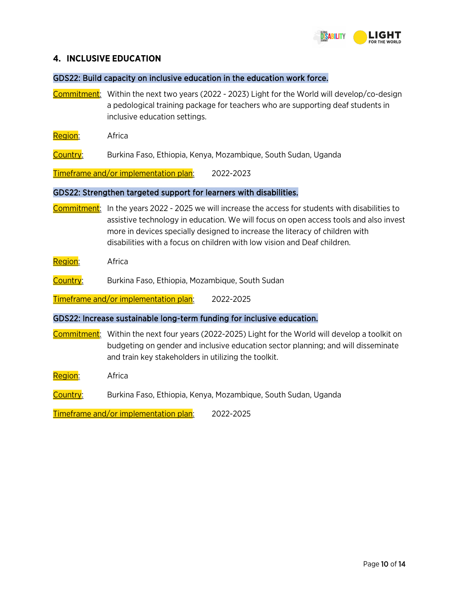

#### <span id="page-9-0"></span>**4. INCLUSIVE EDUCATION**

GDS22: Build capacity on inclusive education in the education work force.

Commitment: Within the next two years (2022 - 2023) Light for the World will develop/co-design a pedological training package for teachers who are supporting deaf students in inclusive education settings.

Region: Africa

Country: Burkina Faso, Ethiopia, Kenya, Mozambique, South Sudan, Uganda

Timeframe and/or implementation plan: 2022-2023

#### GDS22: Strengthen targeted support for learners with disabilities.

- Commitment: In the years 2022 2025 we will increase the access for students with disabilities to assistive technology in education. We will focus on open access tools and also invest more in devices specially designed to increase the literacy of children with disabilities with a focus on children with low vision and Deaf children.
- Region: Africa

Country: Burkina Faso, Ethiopia, Mozambique, South Sudan

Timeframe and/or implementation plan: 2022-2025

#### GDS22: Increase sustainable long-term funding for inclusive education.

Commitment: Within the next four years (2022-2025) Light for the World will develop a toolkit on budgeting on gender and inclusive education sector planning; and will disseminate and train key stakeholders in utilizing the toolkit.

Region: Africa

Country: Burkina Faso, Ethiopia, Kenya, Mozambique, South Sudan, Uganda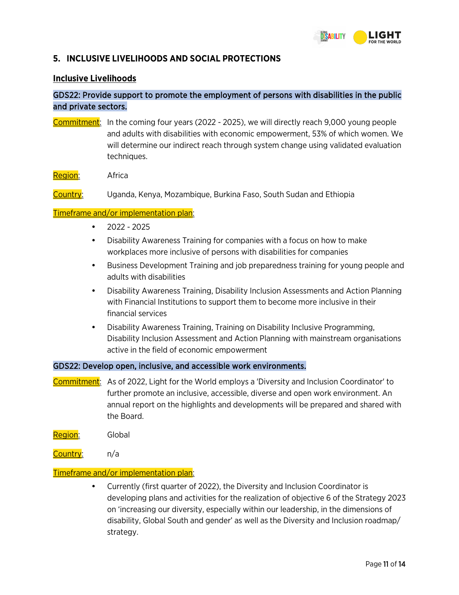

### <span id="page-10-0"></span>**5. INCLUSIVE LIVELIHOODS AND SOCIAL PROTECTIONS**

#### **Inclusive Livelihoods**

# GDS22: Provide support to promote the employment of persons with disabilities in the public and private sectors.

- Commitment: In the coming four years (2022 2025), we will directly reach 9,000 young people and adults with disabilities with economic empowerment, 53% of which women. We will determine our indirect reach through system change using validated evaluation techniques.
- Region: Africa

Country: Uganda, Kenya, Mozambique, Burkina Faso, South Sudan and Ethiopia

#### Timeframe and/or implementation plan:

- 2022 2025
- Disability Awareness Training for companies with a focus on how to make workplaces more inclusive of persons with disabilities for companies
- Business Development Training and job preparedness training for young people and adults with disabilities
- Disability Awareness Training, Disability Inclusion Assessments and Action Planning with Financial Institutions to support them to become more inclusive in their financial services
- Disability Awareness Training, Training on Disability Inclusive Programming, Disability Inclusion Assessment and Action Planning with mainstream organisations active in the field of economic empowerment

#### GDS22: Develop open, inclusive, and accessible work environments.

- Commitment: As of 2022, Light for the World employs a 'Diversity and Inclusion Coordinator' to further promote an inclusive, accessible, diverse and open work environment. An annual report on the highlights and developments will be prepared and shared with the Board.
- Region: Global
- Country: n/a

#### Timeframe and/or implementation plan:

• Currently (first quarter of 2022), the Diversity and Inclusion Coordinator is developing plans and activities for the realization of objective 6 of the Strategy 2023 on 'increasing our diversity, especially within our leadership, in the dimensions of disability, Global South and gender' as well as the Diversity and Inclusion roadmap/ strategy.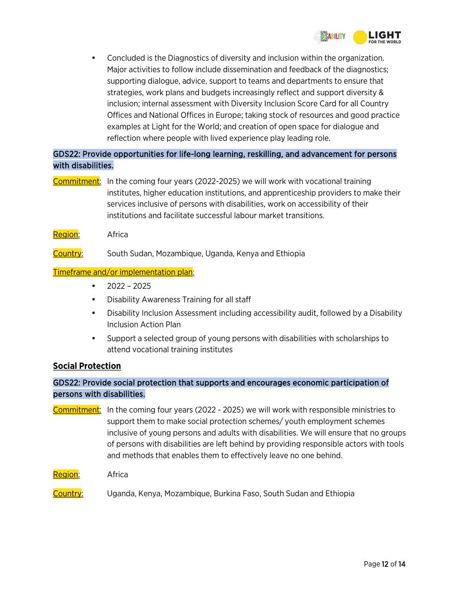

• Concluded is the Diagnostics of diversity and inclusion within the organization. Major activities to follow include dissemination and feedback of the diagnostics; supporting dialogue, advice, support to teams and departments to ensure that strategies, work plans and budgets increasingly reflect and support diversity & inclusion; internal assessment with Diversity Inclusion Score Card for all Country Offices and National Offices in Europe; taking stock of resources and good practice examples at Light for the World; and creation of open space for dialogue and reflection where people with lived experience play leading role.

# GDS22: Provide opportunities for life-long learning, reskilling, and advancement for persons with disabilities.

- Commitment: In the coming four years (2022-2025) we will work with vocational training institutes, higher education institutions, and apprenticeship providers to make their services inclusive of persons with disabilities, work on accessibility of their institutions and facilitate successful labour market transitions.
- Region: Africa
- Country: South Sudan, Mozambique, Uganda, Kenya and Ethiopia

#### Timeframe and/or implementation plan:

- $2022 2025$
- Disability Awareness Training for all staff
- Disability Inclusion Assessment including accessibility audit, followed by a Disability Inclusion Action Plan
- Support a selected group of young persons with disabilities with scholarships to attend vocational training institutes

#### **Social Protection**

# GDS22: Provide social protection that supports and encourages economic participation of persons with disabilities.

- Commitment: In the coming four years (2022 2025) we will work with responsible ministries to support them to make social protection schemes/ youth employment schemes inclusive of young persons and adults with disabilities. We will ensure that no groups of persons with disabilities are left behind by providing responsible actors with tools and methods that enables them to effectively leave no one behind.
- Region: Africa
- Country: Uganda, Kenya, Mozambique, Burkina Faso, South Sudan and Ethiopia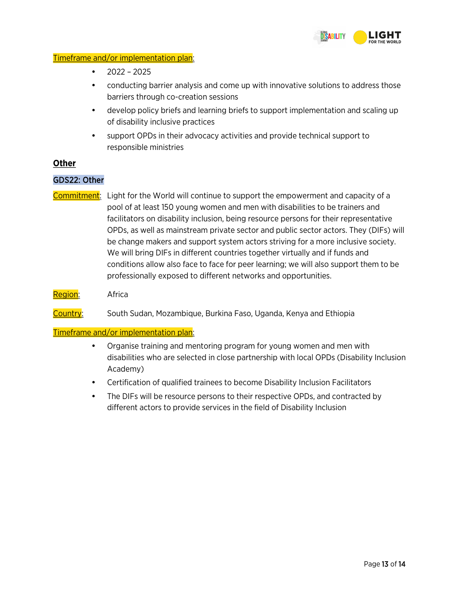

#### Timeframe and/or implementation plan:

- 2022 2025
- conducting barrier analysis and come up with innovative solutions to address those barriers through co-creation sessions
- develop policy briefs and learning briefs to support implementation and scaling up of disability inclusive practices
- support OPDs in their advocacy activities and provide technical support to responsible ministries

#### **Other**

#### GDS22: Other

- Commitment: Light for the World will continue to support the empowerment and capacity of a pool of at least 150 young women and men with disabilities to be trainers and facilitators on disability inclusion, being resource persons for their representative OPDs, as well as mainstream private sector and public sector actors. They (DIFs) will be change makers and support system actors striving for a more inclusive society. We will bring DIFs in different countries together virtually and if funds and conditions allow also face to face for peer learning; we will also support them to be professionally exposed to different networks and opportunities.
- Region: Africa

Country: South Sudan, Mozambique, Burkina Faso, Uganda, Kenya and Ethiopia

- Organise training and mentoring program for young women and men with disabilities who are selected in close partnership with local OPDs (Disability Inclusion Academy)
- Certification of qualified trainees to become Disability Inclusion Facilitators
- The DIFs will be resource persons to their respective OPDs, and contracted by different actors to provide services in the field of Disability Inclusion